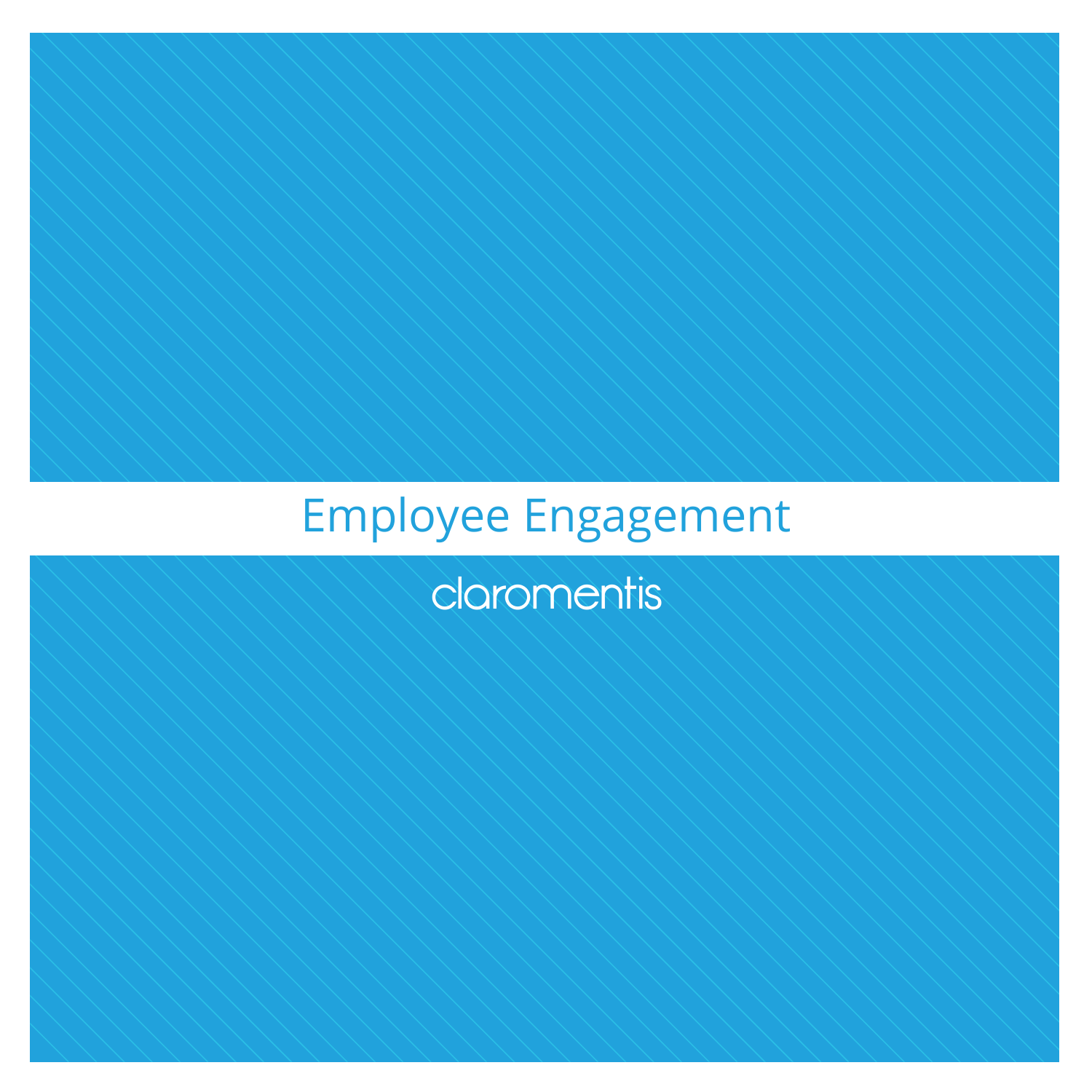# Employee Engagement

**claromentis**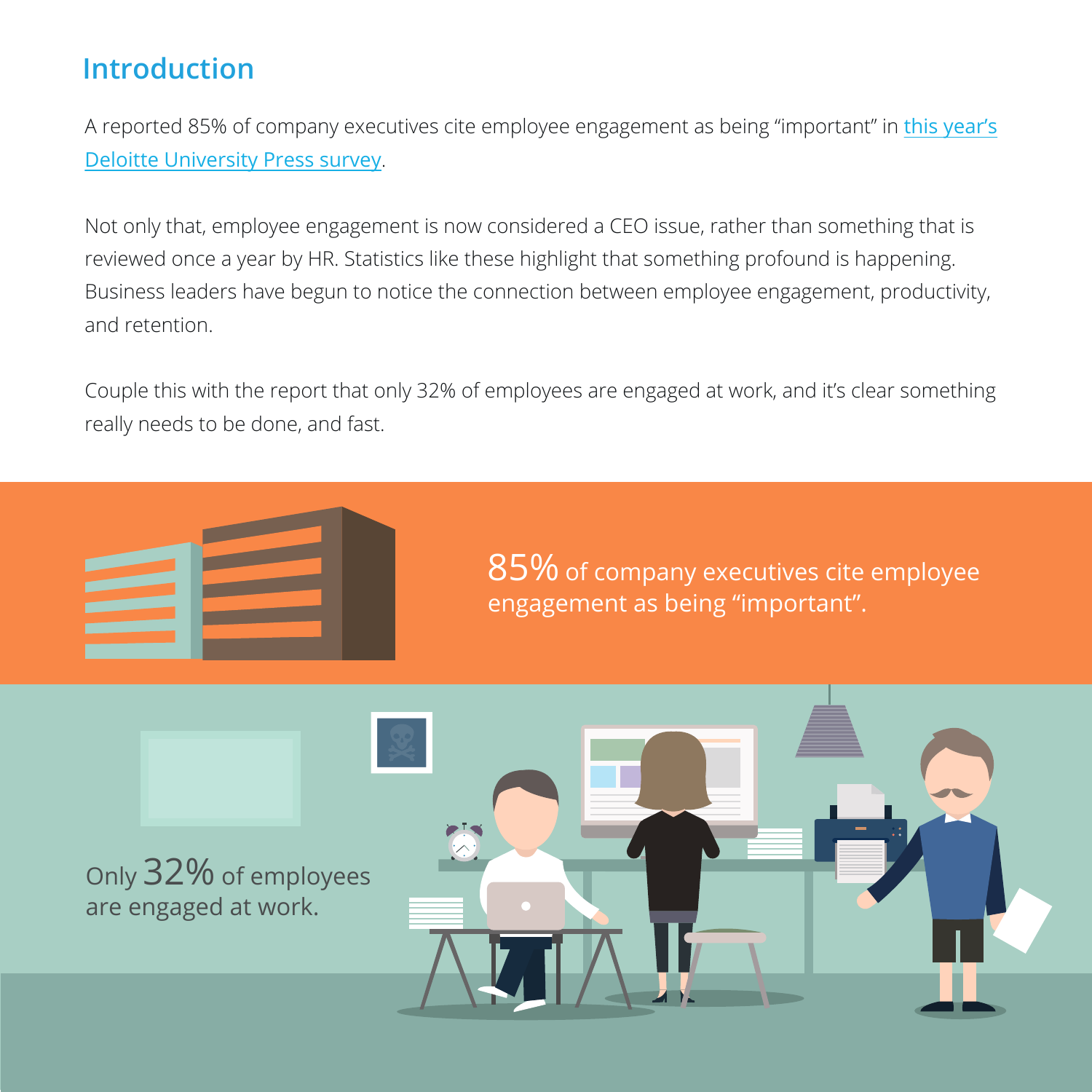# **Introduction**

[A reported 85% of company executives cite employee engagement as being "important" in](http://d27n205l7rookf.cloudfront.net/wp-content/uploads/2016/02/DUP_GlobalHumanCapitalTrends_2016_3.pdf) this year's Deloitte University Press survey.

Not only that, employee engagement is now considered a CEO issue, rather than something that is reviewed once a year by HR. Statistics like these highlight that something profound is happening. Business leaders have begun to notice the connection between employee engagement, productivity, and retention.

Couple this with the report that only 32% of employees are engaged at work, and it's clear something really needs to be done, and fast.



85% of company executives cite employee engagement as being "important".

Only 32% of employees are engaged at work.

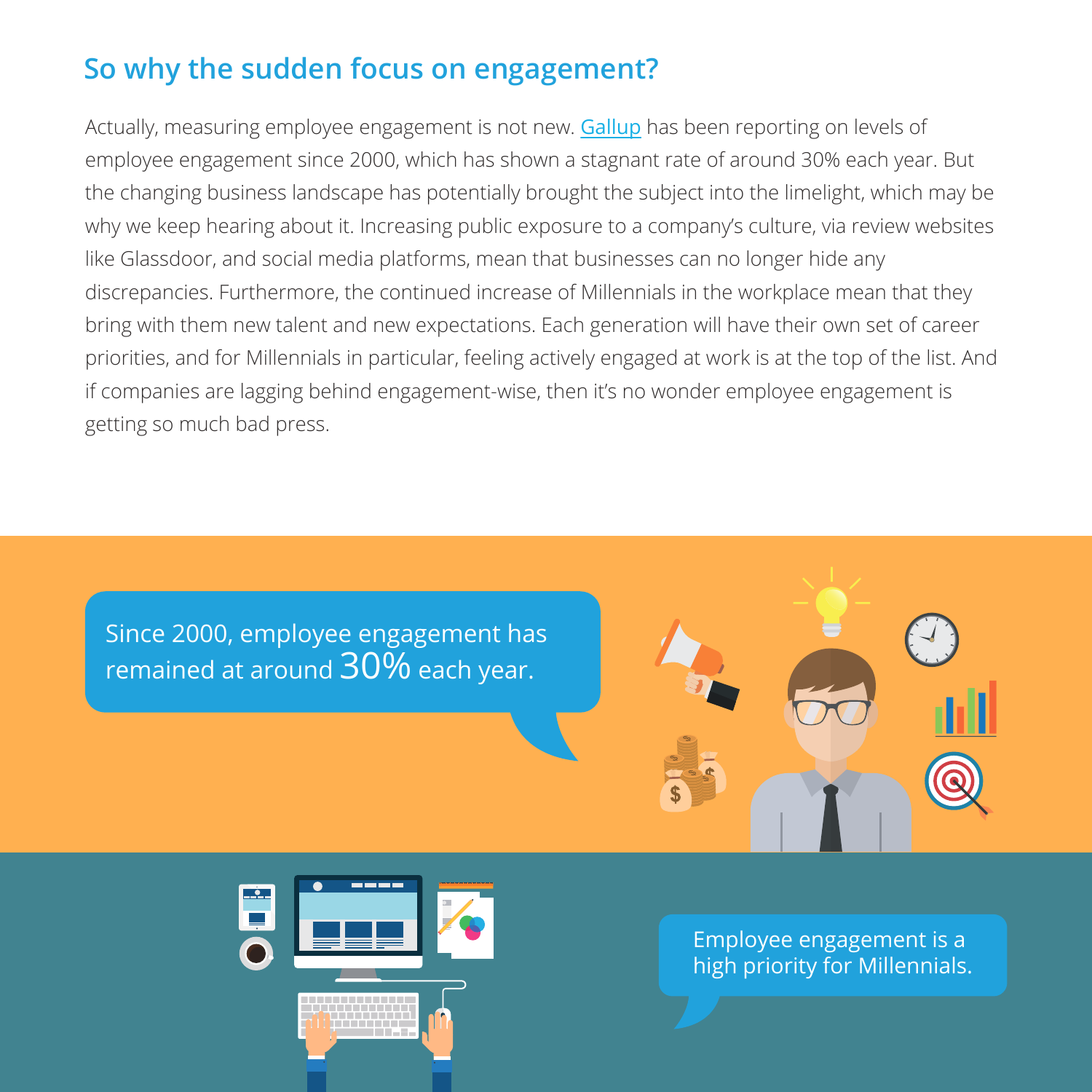# **So why the sudden focus on engagement?**

Actually, measuring employee engagement is not new. [Gallup](http://www.gallup.com/businessjournal/188033/worldwide-employee-engagement-crisis.aspx?g_source=employee%20engagement) has been reporting on levels of employee engagement since 2000, which has shown a stagnant rate of around 30% each year. But the changing business landscape has potentially brought the subject into the limelight, which may be why we keep hearing about it. Increasing public exposure to a company's culture, via review websites like Glassdoor, and social media platforms, mean that businesses can no longer hide any discrepancies. Furthermore, the continued increase of Millennials in the workplace mean that they bring with them new talent and new expectations. Each generation will have their own set of career priorities, and for Millennials in particular, feeling actively engaged at work is at the top of the list. And if companies are lagging behind engagement-wise, then it's no wonder employee engagement is getting so much bad press.

Since 2000, employee engagement has remained at around  $30\%$  each year.





Employee engagement is a high priority for Millennials.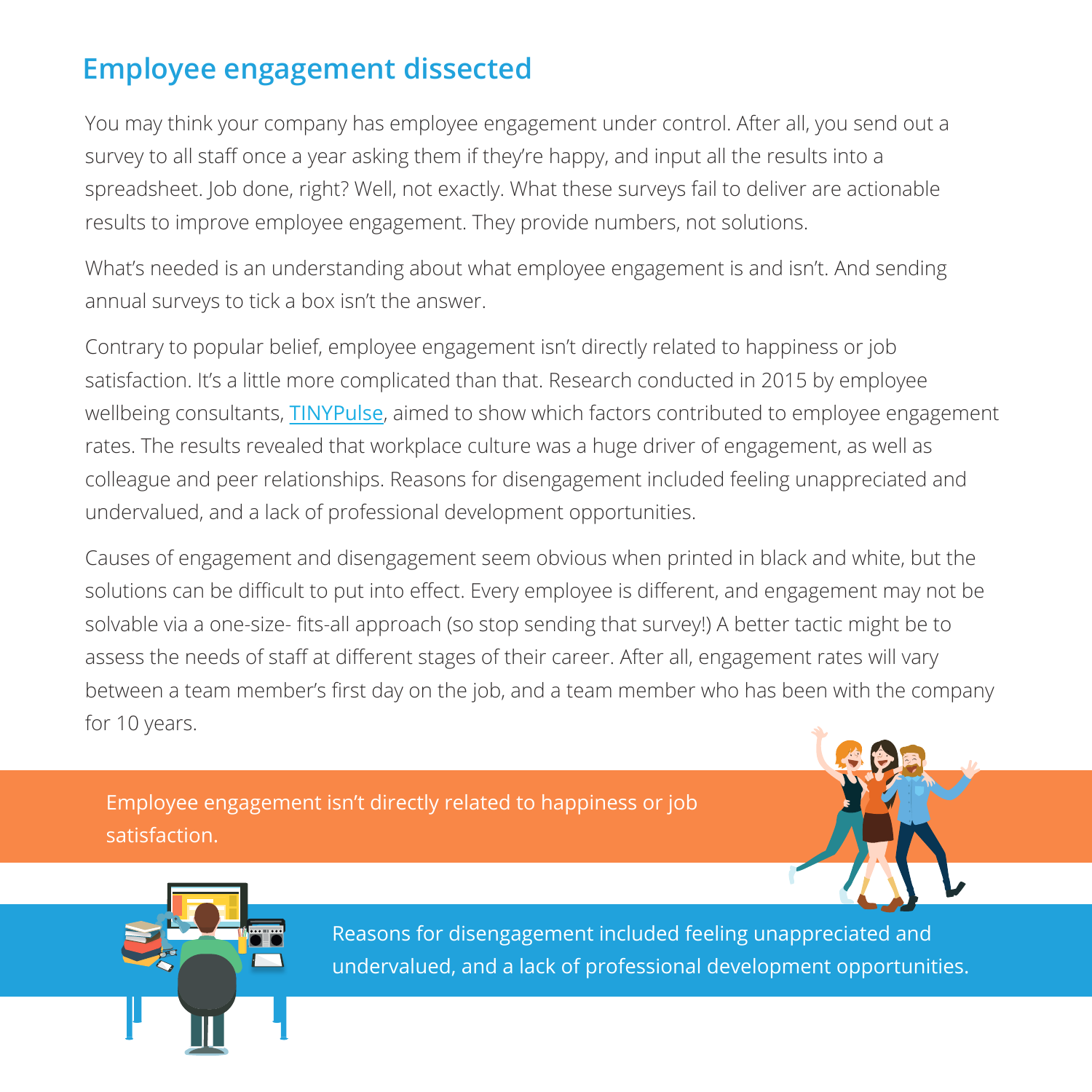# **Employee engagement dissected**

You may think your company has employee engagement under control. After all, you send out a survey to all staff once a year asking them if they're happy, and input all the results into a spreadsheet. Job done, right? Well, not exactly. What these surveys fail to deliver are actionable results to improve employee engagement. They provide numbers, not solutions.

What's needed is an understanding about what employee engagement is and isn't. And sending annual surveys to tick a box isn't the answer.

Contrary to popular belief, employee engagement isn't directly related to happiness or job satisfaction. It's a little more complicated than that. Research conducted in 2015 by employee wellbeing consultants, [TINYPulse](https://cdn2.hubspot.net/hubfs/443262/2015_Employee_Engagement__Organizational_Culture_Report.pdf), aimed to show which factors contributed to employee engagement rates. The results revealed that workplace culture was a huge driver of engagement, as well as colleague and peer relationships. Reasons for disengagement included feeling unappreciated and undervalued, and a lack of professional development opportunities.

Causes of engagement and disengagement seem obvious when printed in black and white, but the solutions can be difficult to put into effect. Every employee is different, and engagement may not be solvable via a one-size- fits-all approach (so stop sending that survey!) A better tactic might be to assess the needs of staff at different stages of their career. After all, engagement rates will vary between a team member's first day on the job, and a team member who has been with the company for 10 years.

Employee engagement isn't directly related to happiness or job satisfaction.





Reasons for disengagement included feeling unappreciated and undervalued, and a lack of professional development opportunities.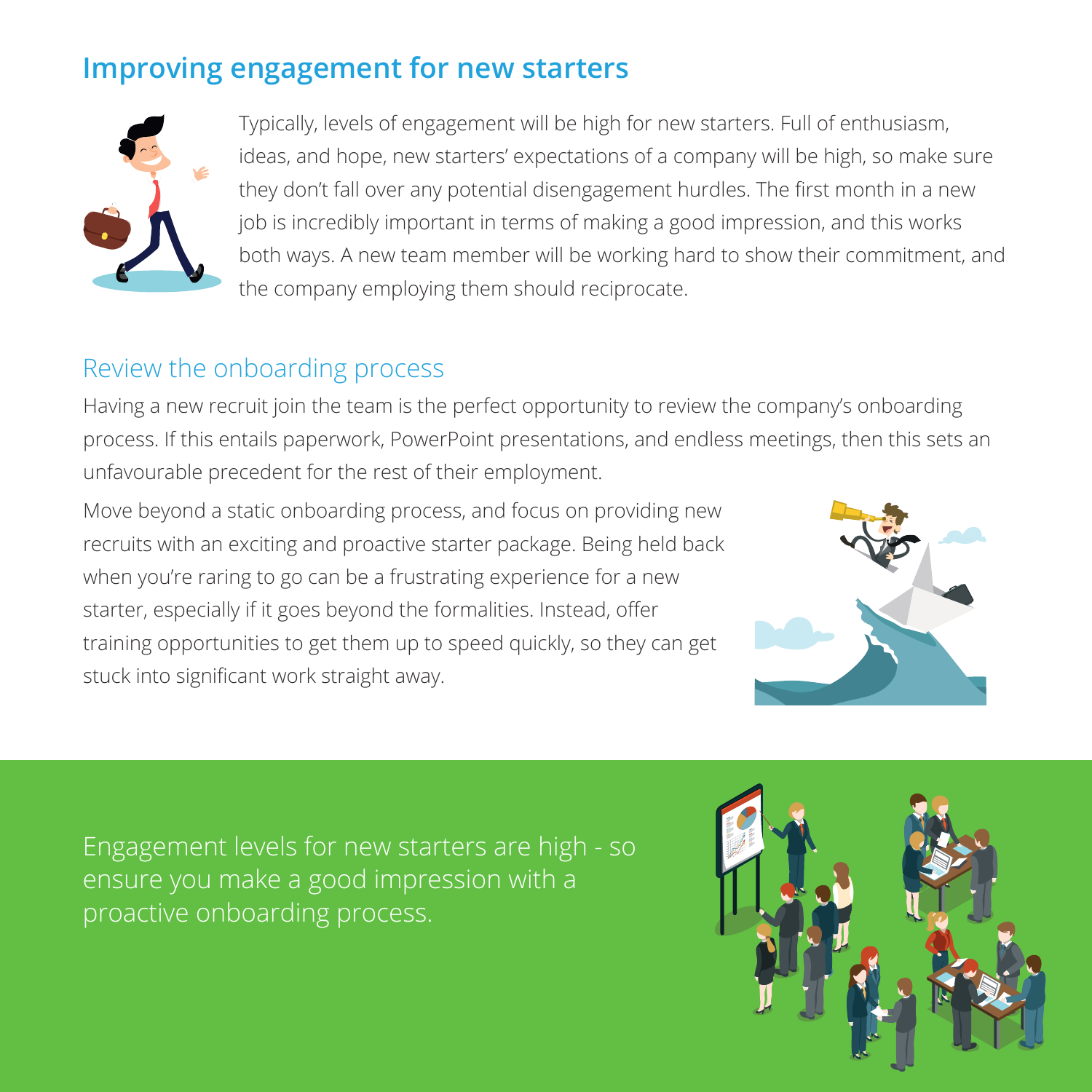# **Improving engagement for new starters**



Typically, levels of engagement will be high for new starters. Full of enthusiasm, ideas, and hope, new starters' expectations of a company will be high, so make sure they don't fall over any potential disengagement hurdles. The first month in a new job is incredibly important in terms of making a good impression, and this works both ways. A new team member will be working hard to show their commitment, and the company employing them should reciprocate.

#### Review the onboarding process

Having a new recruit join the team is the perfect opportunity to review the company's onboarding process. If this entails paperwork, PowerPoint presentations, and endless meetings, then this sets an unfavourable precedent for the rest of their employment.

Move beyond a static onboarding process, and focus on providing new recruits with an exciting and proactive starter package. Being held back when you're raring to go can be a frustrating experience for a new starter, especially if it goes beyond the formalities. Instead, offer training opportunities to get them up to speed quickly, so they can get stuck into significant work straight away.



Engagement levels for new starters are high - so ensure you make a good impression with a proactive onboarding process.

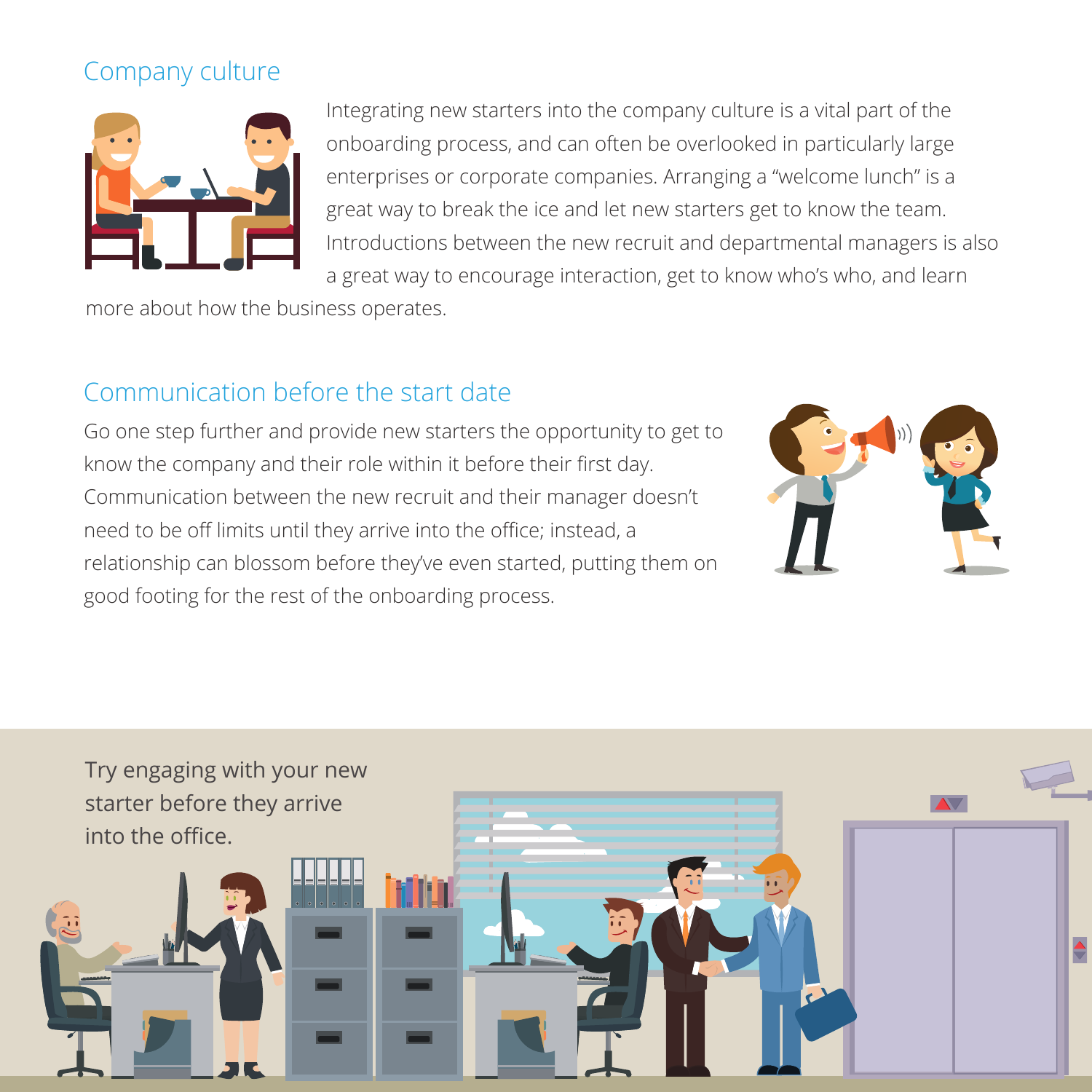## Company culture



Integrating new starters into the company culture is a vital part of the onboarding process, and can often be overlooked in particularly large enterprises or corporate companies. Arranging a "welcome lunch" is a great way to break the ice and let new starters get to know the team. Introductions between the new recruit and departmental managers is also a great way to encourage interaction, get to know who's who, and learn

more about how the business operates.

## Communication before the start date

Go one step further and provide new starters the opportunity to get to know the company and their role within it before their first day. Communication between the new recruit and their manager doesn't need to be off limits until they arrive into the office; instead, a relationship can blossom before they've even started, putting them on good footing for the rest of the onboarding process.



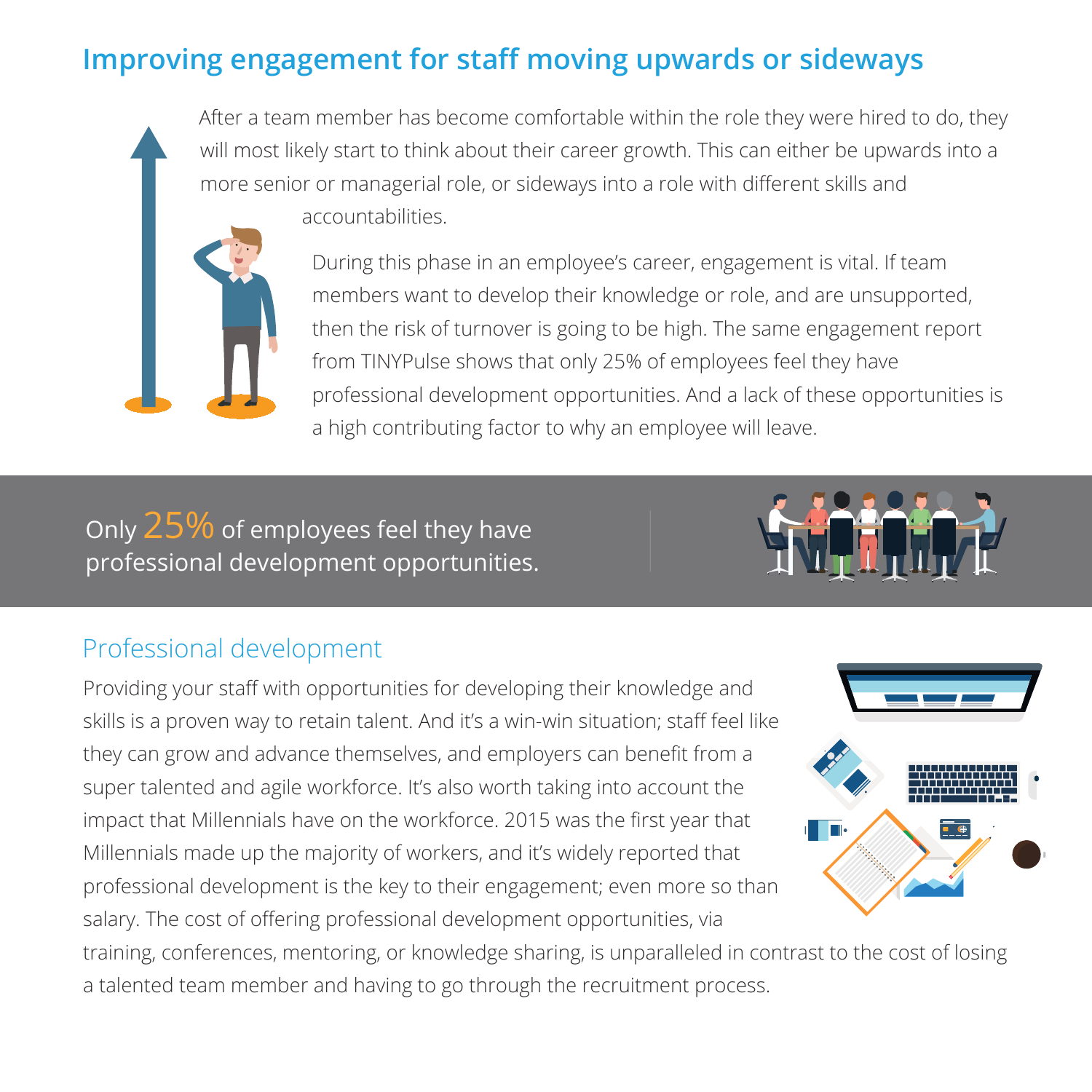## **Improving engagement for staff moving upwards or sideways**

After a team member has become comfortable within the role they were hired to do, they will most likely start to think about their career growth. This can either be upwards into a more senior or managerial role, or sideways into a role with different skills and accountabilities.



During this phase in an employee's career, engagement is vital. If team members want to develop their knowledge or role, and are unsupported, then the risk of turnover is going to be high. The same engagement report from TINYPulse shows that only 25% of employees feel they have professional development opportunities. And a lack of these opportunities is a high contributing factor to why an employee will leave.

Only 25% of employees feel they have professional development opportunities.



#### Professional development

Providing your staff with opportunities for developing their knowledge and skills is a proven way to retain talent. And it's a win-win situation; staff feel like they can grow and advance themselves, and employers can benefit from a super talented and agile workforce. It's also worth taking into account the impact that Millennials have on the workforce. 2015 was the first year that Millennials made up the majority of workers, and it's widely reported that professional development is the key to their engagement; even more so than salary. The cost of offering professional development opportunities, via



training, conferences, mentoring, or knowledge sharing, is unparalleled in contrast to the cost of losing a talented team member and having to go through the recruitment process.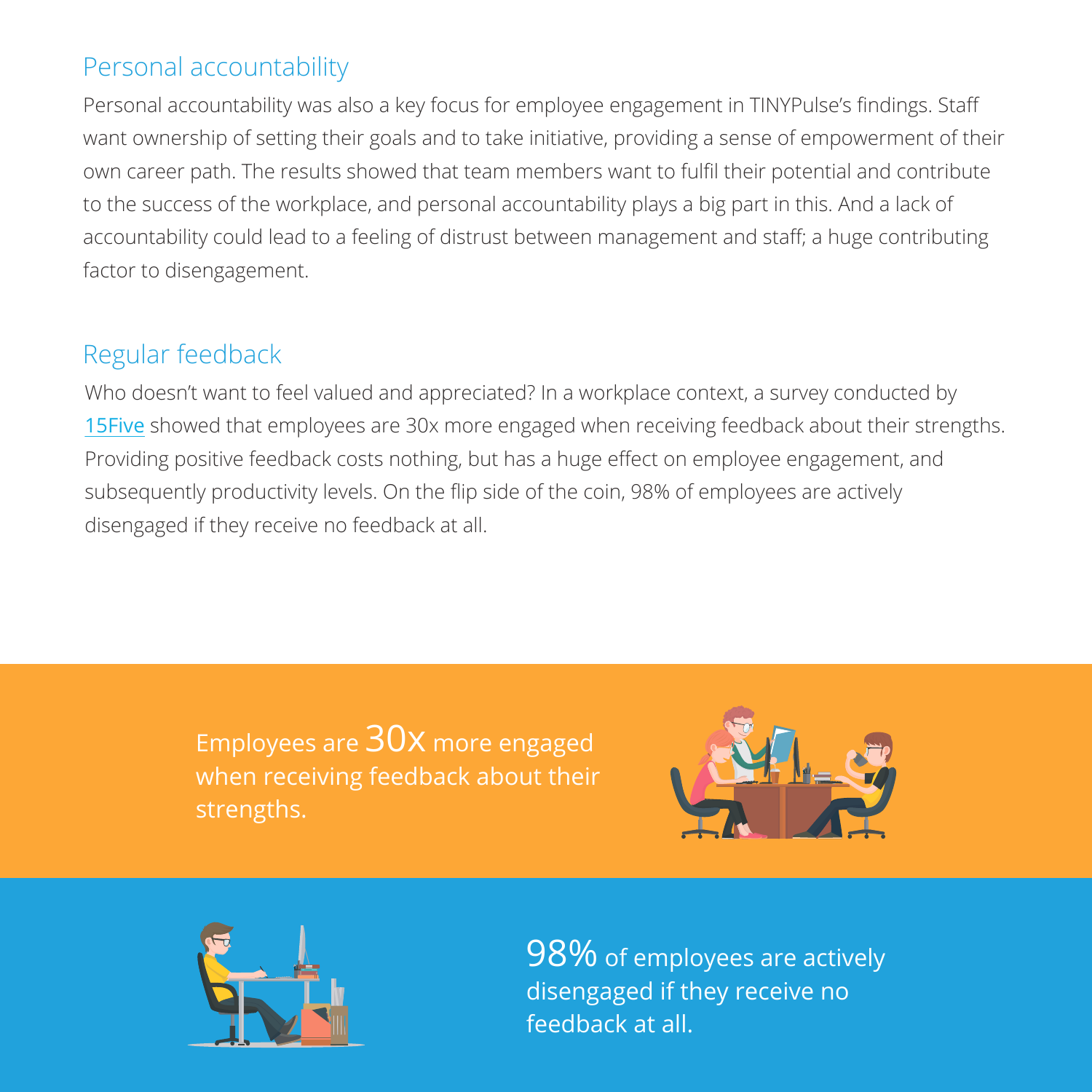## Personal accountability

Personal accountability was also a key focus for employee engagement in TINYPulse's findings. Staff want ownership of setting their goals and to take initiative, providing a sense of empowerment of their own career path. The results showed that team members want to fulfil their potential and contribute to the success of the workplace, and personal accountability plays a big part in this. And a lack of accountability could lead to a feeling of distrust between management and staff; a huge contributing factor to disengagement.

#### Regular feedback

Who doesn't want to feel valued and appreciated? In a workplace context, a survey conducted by [15Five](https://www.15five.com/blog/employee-engagement-the-key-to-unlocking-your-teams-potential/) showed that employees are 30x more engaged when receiving feedback about their strengths. Providing positive feedback costs nothing, but has a huge effect on employee engagement, and subsequently productivity levels. On the flip side of the coin, 98% of employees are actively disengaged if they receive no feedback at all.

> Employees are 30x more engaged when receiving feedback about their strengths.





98% of employees are actively disengaged if they receive no feedback at all.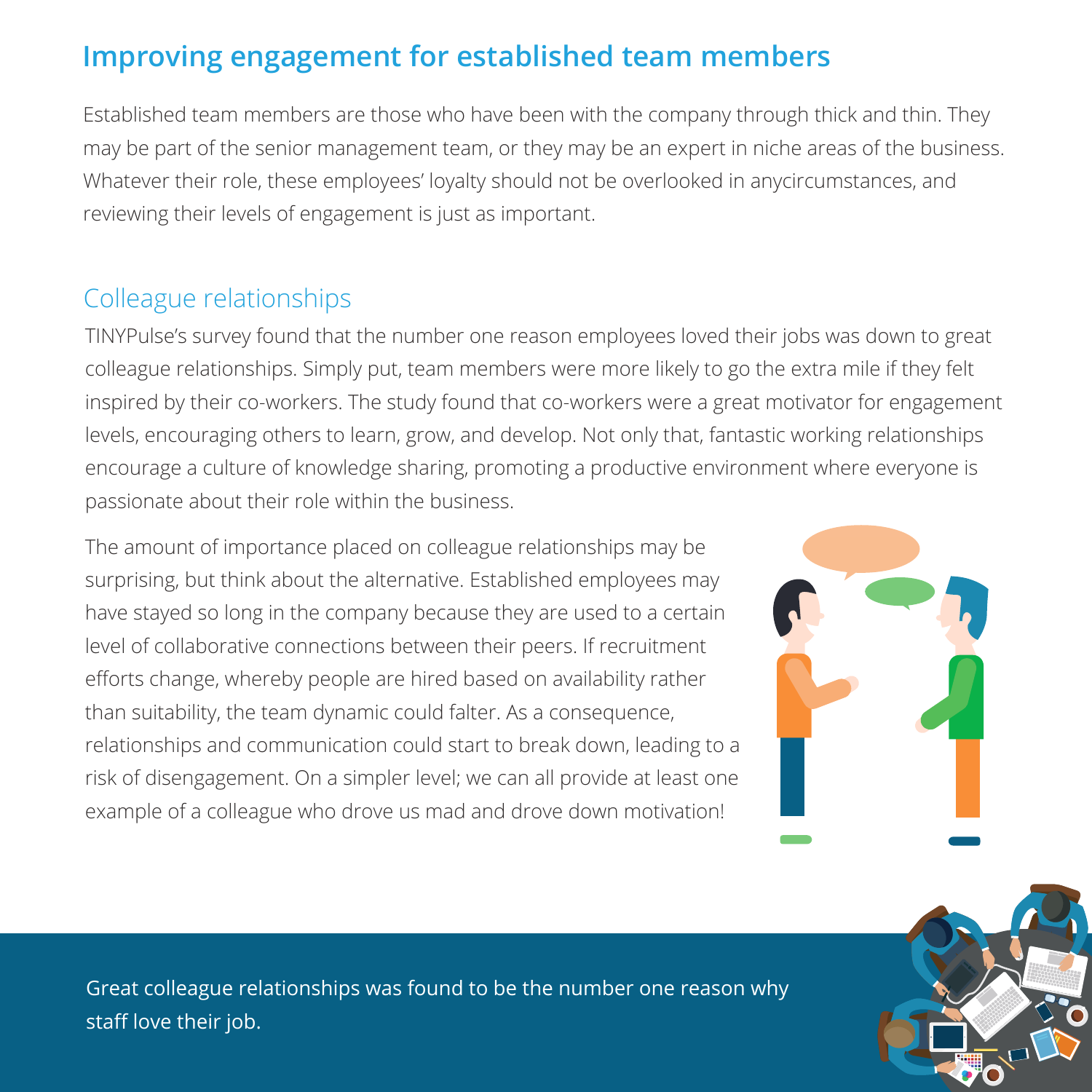## **Improving engagement for established team members**

Established team members are those who have been with the company through thick and thin. They may be part of the senior management team, or they may be an expert in niche areas of the business. Whatever their role, these employees' loyalty should not be overlooked in anycircumstances, and reviewing their levels of engagement is just as important.

#### Colleague relationships

TINYPulse's survey found that the number one reason employees loved their jobs was down to great colleague relationships. Simply put, team members were more likely to go the extra mile if they felt inspired by their co-workers. The study found that co-workers were a great motivator for engagement levels, encouraging others to learn, grow, and develop. Not only that, fantastic working relationships encourage a culture of knowledge sharing, promoting a productive environment where everyone is passionate about their role within the business.

The amount of importance placed on colleague relationships may be surprising, but think about the alternative. Established employees may have stayed so long in the company because they are used to a certain level of collaborative connections between their peers. If recruitment efforts change, whereby people are hired based on availability rather than suitability, the team dynamic could falter. As a consequence, relationships and communication could start to break down, leading to a risk of disengagement. On a simpler level; we can all provide at least one example of a colleague who drove us mad and drove down motivation!





Great colleague relationships was found to be the number one reason why staff love their job.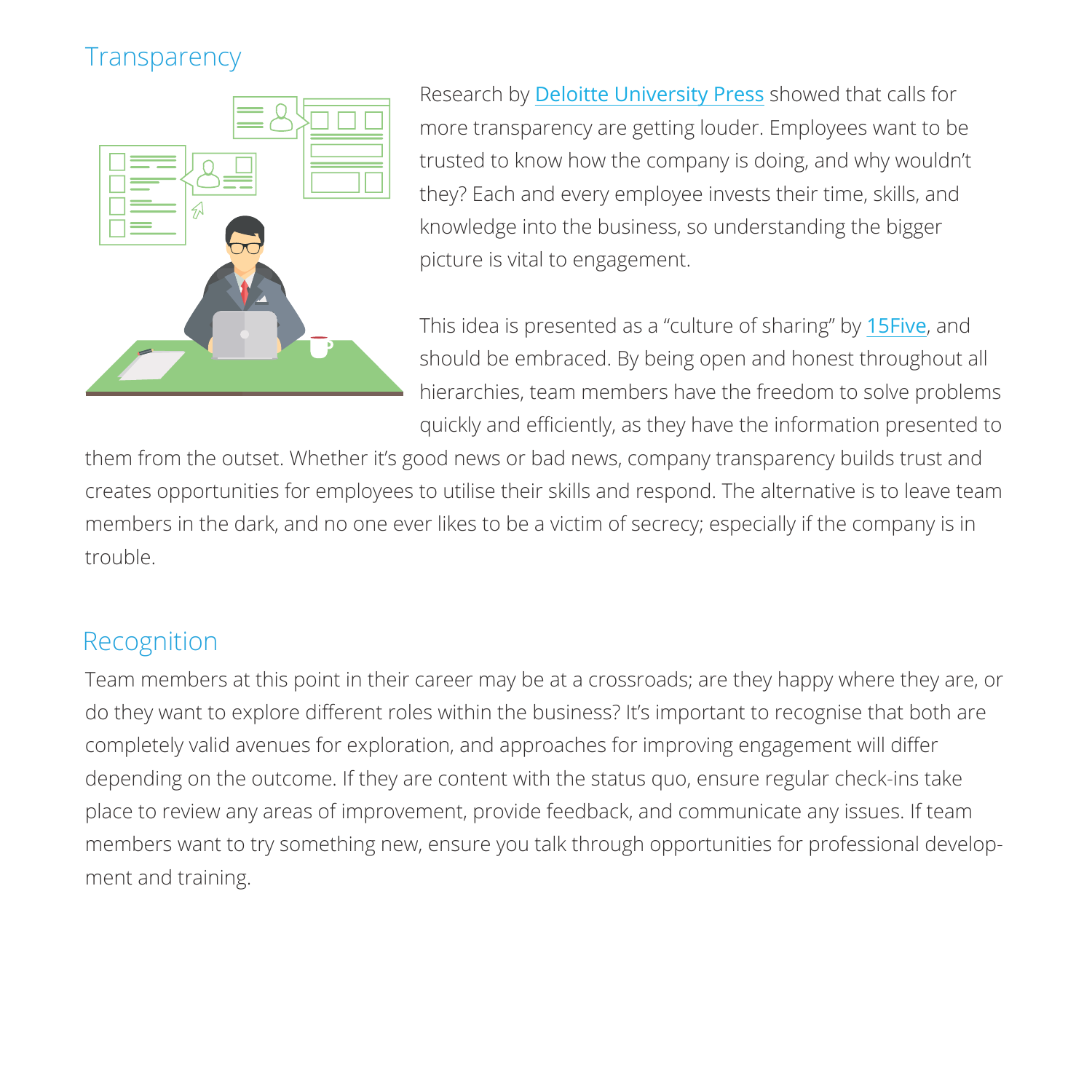## Transparency



Research by [Deloitte University Press](http://dupress.com/articles/employee-engagement-strategies/) showed that calls for more transparency are getting louder. Employees want to be trusted to know how the company is doing, and why wouldn't they? Each and every employee invests their time, skills, and knowledge into the business, so understanding the bigger picture is vital to engagement.

This idea is presented as a "culture of sharing" by [15Five](https://www.15five.com/blog/drive-employee-engagement-via-a-culture-of-sharing/), and should be embraced. By being open and honest throughout all hierarchies, team members have the freedom to solve problems quickly and efficiently, as they have the information presented to

them from the outset. Whether it's good news or bad news, company transparency builds trust and creates opportunities for employees to utilise their skills and respond. The alternative is to leave team members in the dark, and no one ever likes to be a victim of secrecy; especially if the company is in trouble.

#### Recognition

Team members at this point in their career may be at a crossroads; are they happy where they are, or do they want to explore different roles within the business? It's important to recognise that both are completely valid avenues for exploration, and approaches for improving engagement will differ depending on the outcome. If they are content with the status quo, ensure regular check-ins take place to review any areas of improvement, provide feedback, and communicate any issues. If team members want to try something new, ensure you talk through opportunities for professional development and training.